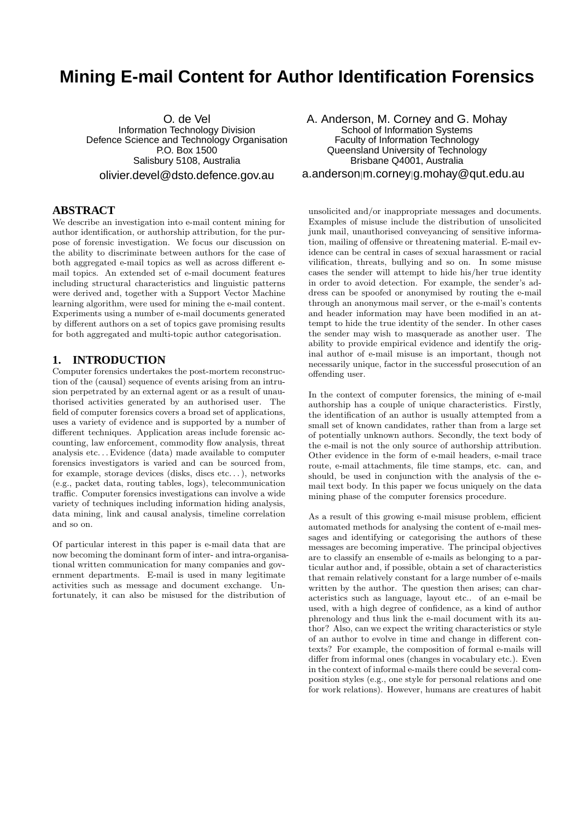# **Mining E-mail Content for Author Identification Forensics**

O. de Vel Information Technology Division Defence Science and Technology Organisation P.O. Box 1500 Salisbury 5108, Australia olivier.devel@dsto.defence.gov.au

# **ABSTRACT**

We describe an investigation into e-mail content mining for author identification, or authorship attribution, for the purpose of forensic investigation. We focus our discussion on the ability to discriminate between authors for the case of both aggregated e-mail topics as well as across different email topics. An extended set of e-mail document features including structural characteristics and linguistic patterns were derived and, together with a Support Vector Machine learning algorithm, were used for mining the e-mail content. Experiments using a number of e-mail documents generated by different authors on a set of topics gave promising results for both aggregated and multi-topic author categorisation.

## **1. INTRODUCTION**

Computer forensics undertakes the post-mortem reconstruction of the (causal) sequence of events arising from an intrusion perpetrated by an external agent or as a result of unauthorised activities generated by an authorised user. The field of computer forensics covers a broad set of applications, uses a variety of evidence and is supported by a number of different techniques. Application areas include forensic accounting, law enforcement, commodity flow analysis, threat analysis etc. . . Evidence (data) made available to computer forensics investigators is varied and can be sourced from, for example, storage devices (disks, discs etc. . . ), networks (e.g., packet data, routing tables, logs), telecommunication traffic. Computer forensics investigations can involve a wide variety of techniques including information hiding analysis, data mining, link and causal analysis, timeline correlation and so on.

Of particular interest in this paper is e-mail data that are now becoming the dominant form of inter- and intra-organisational written communication for many companies and government departments. E-mail is used in many legitimate activities such as message and document exchange. Unfortunately, it can also be misused for the distribution of

A. Anderson, M. Corney and G. Mohay School of Information Systems Faculty of Information Technology Queensland University of Technology Brisbane Q4001, Australia a.anderson|m.corney|g.mohay@qut.edu.au

unsolicited and/or inappropriate messages and documents. Examples of misuse include the distribution of unsolicited junk mail, unauthorised conveyancing of sensitive information, mailing of offensive or threatening material. E-mail evidence can be central in cases of sexual harassment or racial vilification, threats, bullying and so on. In some misuse cases the sender will attempt to hide his/her true identity in order to avoid detection. For example, the sender's address can be spoofed or anonymised by routing the e-mail through an anonymous mail server, or the e-mail's contents and header information may have been modified in an attempt to hide the true identity of the sender. In other cases the sender may wish to masquerade as another user. The ability to provide empirical evidence and identify the original author of e-mail misuse is an important, though not necessarily unique, factor in the successful prosecution of an offending user.

In the context of computer forensics, the mining of e-mail authorship has a couple of unique characteristics. Firstly, the identification of an author is usually attempted from a small set of known candidates, rather than from a large set of potentially unknown authors. Secondly, the text body of the e-mail is not the only source of authorship attribution. Other evidence in the form of e-mail headers, e-mail trace route, e-mail attachments, file time stamps, etc. can, and should, be used in conjunction with the analysis of the email text body. In this paper we focus uniquely on the data mining phase of the computer forensics procedure.

As a result of this growing e-mail misuse problem, efficient automated methods for analysing the content of e-mail messages and identifying or categorising the authors of these messages are becoming imperative. The principal objectives are to classify an ensemble of e-mails as belonging to a particular author and, if possible, obtain a set of characteristics that remain relatively constant for a large number of e-mails written by the author. The question then arises; can characteristics such as language, layout etc.. of an e-mail be used, with a high degree of confidence, as a kind of author phrenology and thus link the e-mail document with its author? Also, can we expect the writing characteristics or style of an author to evolve in time and change in different contexts? For example, the composition of formal e-mails will differ from informal ones (changes in vocabulary etc.). Even in the context of informal e-mails there could be several composition styles (e.g., one style for personal relations and one for work relations). However, humans are creatures of habit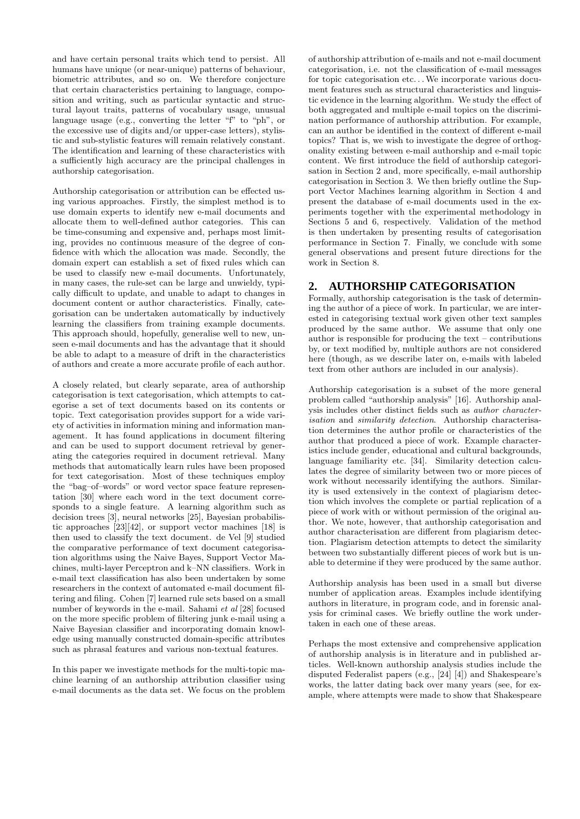and have certain personal traits which tend to persist. All humans have unique (or near-unique) patterns of behaviour, biometric attributes, and so on. We therefore conjecture that certain characteristics pertaining to language, composition and writing, such as particular syntactic and structural layout traits, patterns of vocabulary usage, unusual language usage (e.g., converting the letter "f" to "ph", or the excessive use of digits and/or upper-case letters), stylistic and sub-stylistic features will remain relatively constant. The identification and learning of these characteristics with a sufficiently high accuracy are the principal challenges in authorship categorisation.

Authorship categorisation or attribution can be effected using various approaches. Firstly, the simplest method is to use domain experts to identify new e-mail documents and allocate them to well-defined author categories. This can be time-consuming and expensive and, perhaps most limiting, provides no continuous measure of the degree of confidence with which the allocation was made. Secondly, the domain expert can establish a set of fixed rules which can be used to classify new e-mail documents. Unfortunately, in many cases, the rule-set can be large and unwieldy, typically difficult to update, and unable to adapt to changes in document content or author characteristics. Finally, categorisation can be undertaken automatically by inductively learning the classifiers from training example documents. This approach should, hopefully, generalise well to new, unseen e-mail documents and has the advantage that it should be able to adapt to a measure of drift in the characteristics of authors and create a more accurate profile of each author.

A closely related, but clearly separate, area of authorship categorisation is text categorisation, which attempts to categorise a set of text documents based on its contents or topic. Text categorisation provides support for a wide variety of activities in information mining and information management. It has found applications in document filtering and can be used to support document retrieval by generating the categories required in document retrieval. Many methods that automatically learn rules have been proposed for text categorisation. Most of these techniques employ the "bag–of–words" or word vector space feature representation [30] where each word in the text document corresponds to a single feature. A learning algorithm such as decision trees [3], neural networks [25], Bayesian probabilistic approaches [23][42], or support vector machines [18] is then used to classify the text document. de Vel [9] studied the comparative performance of text document categorisation algorithms using the Naive Bayes, Support Vector Machines, multi-layer Perceptron and k–NN classifiers. Work in e-mail text classification has also been undertaken by some researchers in the context of automated e-mail document filtering and filing. Cohen [7] learned rule sets based on a small number of keywords in the e-mail. Sahami et al [28] focused on the more specific problem of filtering junk e-mail using a Naive Bayesian classifier and incorporating domain knowledge using manually constructed domain-specific attributes such as phrasal features and various non-textual features.

In this paper we investigate methods for the multi-topic machine learning of an authorship attribution classifier using e-mail documents as the data set. We focus on the problem of authorship attribution of e-mails and not e-mail document categorisation, i.e. not the classification of e-mail messages for topic categorisation etc... We incorporate various document features such as structural characteristics and linguistic evidence in the learning algorithm. We study the effect of both aggregated and multiple e-mail topics on the discrimination performance of authorship attribution. For example, can an author be identified in the context of different e-mail topics? That is, we wish to investigate the degree of orthogonality existing between e-mail authorship and e-mail topic content. We first introduce the field of authorship categorisation in Section 2 and, more specifically, e-mail authorship categorisation in Section 3. We then briefly outline the Support Vector Machines learning algorithm in Section 4 and present the database of e-mail documents used in the experiments together with the experimental methodology in Sections 5 and 6, respectively. Validation of the method is then undertaken by presenting results of categorisation performance in Section 7. Finally, we conclude with some general observations and present future directions for the work in Section 8.

# **2. AUTHORSHIP CATEGORISATION**

Formally, authorship categorisation is the task of determining the author of a piece of work. In particular, we are interested in categorising textual work given other text samples produced by the same author. We assume that only one author is responsible for producing the text – contributions by, or text modified by, multiple authors are not considered here (though, as we describe later on, e-mails with labeled text from other authors are included in our analysis).

Authorship categorisation is a subset of the more general problem called "authorship analysis" [16]. Authorship analysis includes other distinct fields such as author characterisation and similarity detection. Authorship characterisation determines the author profile or characteristics of the author that produced a piece of work. Example characteristics include gender, educational and cultural backgrounds, language familiarity etc. [34]. Similarity detection calculates the degree of similarity between two or more pieces of work without necessarily identifying the authors. Similarity is used extensively in the context of plagiarism detection which involves the complete or partial replication of a piece of work with or without permission of the original author. We note, however, that authorship categorisation and author characterisation are different from plagiarism detection. Plagiarism detection attempts to detect the similarity between two substantially different pieces of work but is unable to determine if they were produced by the same author.

Authorship analysis has been used in a small but diverse number of application areas. Examples include identifying authors in literature, in program code, and in forensic analysis for criminal cases. We briefly outline the work undertaken in each one of these areas.

Perhaps the most extensive and comprehensive application of authorship analysis is in literature and in published articles. Well-known authorship analysis studies include the disputed Federalist papers (e.g., [24] [4]) and Shakespeare's works, the latter dating back over many years (see, for example, where attempts were made to show that Shakespeare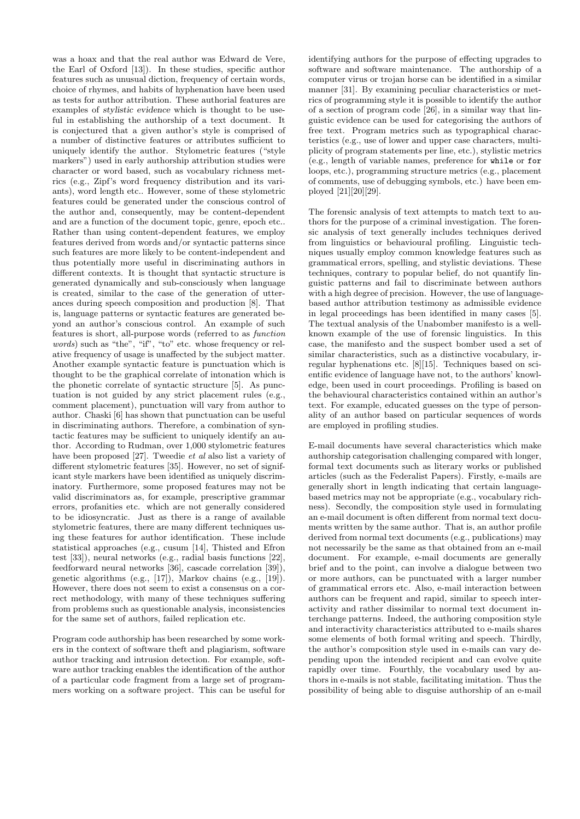was a hoax and that the real author was Edward de Vere, the Earl of Oxford [13]). In these studies, specific author features such as unusual diction, frequency of certain words, choice of rhymes, and habits of hyphenation have been used as tests for author attribution. These authorial features are examples of stylistic evidence which is thought to be useful in establishing the authorship of a text document. It is conjectured that a given author's style is comprised of a number of distinctive features or attributes sufficient to uniquely identify the author. Stylometric features ("style markers") used in early authorship attribution studies were character or word based, such as vocabulary richness metrics (e.g., Zipf's word frequency distribution and its variants), word length etc.. However, some of these stylometric features could be generated under the conscious control of the author and, consequently, may be content-dependent and are a function of the document topic, genre, epoch etc.. Rather than using content-dependent features, we employ features derived from words and/or syntactic patterns since such features are more likely to be content-independent and thus potentially more useful in discriminating authors in different contexts. It is thought that syntactic structure is generated dynamically and sub-consciously when language is created, similar to the case of the generation of utterances during speech composition and production [8]. That is, language patterns or syntactic features are generated beyond an author's conscious control. An example of such features is short, all-purpose words (referred to as function words) such as "the", "if", "to" etc. whose frequency or relative frequency of usage is unaffected by the subject matter. Another example syntactic feature is punctuation which is thought to be the graphical correlate of intonation which is the phonetic correlate of syntactic structure [5]. As punctuation is not guided by any strict placement rules (e.g., comment placement), punctuation will vary from author to author. Chaski [6] has shown that punctuation can be useful in discriminating authors. Therefore, a combination of syntactic features may be sufficient to uniquely identify an author. According to Rudman, over 1,000 stylometric features have been proposed [27]. Tweedie *et al* also list a variety of different stylometric features [35]. However, no set of significant style markers have been identified as uniquely discriminatory. Furthermore, some proposed features may not be valid discriminators as, for example, prescriptive grammar errors, profanities etc. which are not generally considered to be idiosyncratic. Just as there is a range of available stylometric features, there are many different techniques using these features for author identification. These include statistical approaches (e.g., cusum [14], Thisted and Efron test [33]), neural networks (e.g., radial basis functions [22], feedforward neural networks [36], cascade correlation [39]), genetic algorithms (e.g., [17]), Markov chains (e.g., [19]). However, there does not seem to exist a consensus on a correct methodology, with many of these techniques suffering from problems such as questionable analysis, inconsistencies for the same set of authors, failed replication etc.

Program code authorship has been researched by some workers in the context of software theft and plagiarism, software author tracking and intrusion detection. For example, software author tracking enables the identification of the author of a particular code fragment from a large set of programmers working on a software project. This can be useful for identifying authors for the purpose of effecting upgrades to software and software maintenance. The authorship of a computer virus or trojan horse can be identified in a similar manner [31]. By examining peculiar characteristics or metrics of programming style it is possible to identify the author of a section of program code [26], in a similar way that linguistic evidence can be used for categorising the authors of free text. Program metrics such as typographical characteristics (e.g., use of lower and upper case characters, multiplicity of program statements per line, etc.), stylistic metrics (e.g., length of variable names, preference for while or for loops, etc.), programming structure metrics (e.g., placement of comments, use of debugging symbols, etc.) have been employed [21][20][29].

The forensic analysis of text attempts to match text to authors for the purpose of a criminal investigation. The forensic analysis of text generally includes techniques derived from linguistics or behavioural profiling. Linguistic techniques usually employ common knowledge features such as grammatical errors, spelling, and stylistic deviations. These techniques, contrary to popular belief, do not quantify linguistic patterns and fail to discriminate between authors with a high degree of precision. However, the use of languagebased author attribution testimony as admissible evidence in legal proceedings has been identified in many cases [5]. The textual analysis of the Unabomber manifesto is a wellknown example of the use of forensic linguistics. In this case, the manifesto and the suspect bomber used a set of similar characteristics, such as a distinctive vocabulary, irregular hyphenations etc. [8][15]. Techniques based on scientific evidence of language have not, to the authors' knowledge, been used in court proceedings. Profiling is based on the behavioural characteristics contained within an author's text. For example, educated guesses on the type of personality of an author based on particular sequences of words are employed in profiling studies.

E-mail documents have several characteristics which make authorship categorisation challenging compared with longer, formal text documents such as literary works or published articles (such as the Federalist Papers). Firstly, e-mails are generally short in length indicating that certain languagebased metrics may not be appropriate (e.g., vocabulary richness). Secondly, the composition style used in formulating an e-mail document is often different from normal text documents written by the same author. That is, an author profile derived from normal text documents (e.g., publications) may not necessarily be the same as that obtained from an e-mail document. For example, e-mail documents are generally brief and to the point, can involve a dialogue between two or more authors, can be punctuated with a larger number of grammatical errors etc. Also, e-mail interaction between authors can be frequent and rapid, similar to speech interactivity and rather dissimilar to normal text document interchange patterns. Indeed, the authoring composition style and interactivity characteristics attributed to e-mails shares some elements of both formal writing and speech. Thirdly, the author's composition style used in e-mails can vary depending upon the intended recipient and can evolve quite rapidly over time. Fourthly, the vocabulary used by authors in e-mails is not stable, facilitating imitation. Thus the possibility of being able to disguise authorship of an e-mail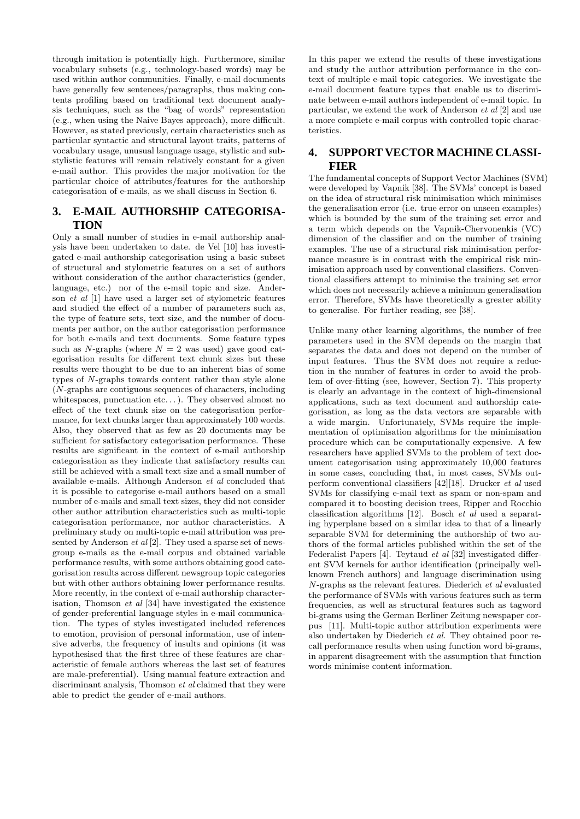through imitation is potentially high. Furthermore, similar vocabulary subsets (e.g., technology-based words) may be used within author communities. Finally, e-mail documents have generally few sentences/paragraphs, thus making contents profiling based on traditional text document analysis techniques, such as the "bag–of–words" representation (e.g., when using the Naive Bayes approach), more difficult. However, as stated previously, certain characteristics such as particular syntactic and structural layout traits, patterns of vocabulary usage, unusual language usage, stylistic and substylistic features will remain relatively constant for a given e-mail author. This provides the major motivation for the particular choice of attributes/features for the authorship categorisation of e-mails, as we shall discuss in Section 6.

# **3. E-MAIL AUTHORSHIP CATEGORISA-TION**

Only a small number of studies in e-mail authorship analysis have been undertaken to date. de Vel [10] has investigated e-mail authorship categorisation using a basic subset of structural and stylometric features on a set of authors without consideration of the author characteristics (gender, language, etc.) nor of the e-mail topic and size. Anderson et al [1] have used a larger set of stylometric features and studied the effect of a number of parameters such as, the type of feature sets, text size, and the number of documents per author, on the author categorisation performance for both e-mails and text documents. Some feature types such as N-graphs (where  $N = 2$  was used) gave good categorisation results for different text chunk sizes but these results were thought to be due to an inherent bias of some types of N-graphs towards content rather than style alone (N-graphs are contiguous sequences of characters, including whitespaces, punctuation etc...). They observed almost no effect of the text chunk size on the categorisation performance, for text chunks larger than approximately 100 words. Also, they observed that as few as 20 documents may be sufficient for satisfactory categorisation performance. These results are significant in the context of e-mail authorship categorisation as they indicate that satisfactory results can still be achieved with a small text size and a small number of available e-mails. Although Anderson et al concluded that it is possible to categorise e-mail authors based on a small number of e-mails and small text sizes, they did not consider other author attribution characteristics such as multi-topic categorisation performance, nor author characteristics. A preliminary study on multi-topic e-mail attribution was presented by Anderson *et al* [2]. They used a sparse set of newsgroup e-mails as the e-mail corpus and obtained variable performance results, with some authors obtaining good categorisation results across different newsgroup topic categories but with other authors obtaining lower performance results. More recently, in the context of e-mail authorship characterisation, Thomson et al [34] have investigated the existence of gender-preferential language styles in e-mail communication. The types of styles investigated included references to emotion, provision of personal information, use of intensive adverbs, the frequency of insults and opinions (it was hypothesised that the first three of these features are characteristic of female authors whereas the last set of features are male-preferential). Using manual feature extraction and discriminant analysis, Thomson *et al* claimed that they were able to predict the gender of e-mail authors.

In this paper we extend the results of these investigations and study the author attribution performance in the context of multiple e-mail topic categories. We investigate the e-mail document feature types that enable us to discriminate between e-mail authors independent of e-mail topic. In particular, we extend the work of Anderson et al [2] and use a more complete e-mail corpus with controlled topic characteristics.

# **4. SUPPORT VECTOR MACHINE CLASSI-FIER**

The fundamental concepts of Support Vector Machines (SVM) were developed by Vapnik [38]. The SVMs' concept is based on the idea of structural risk minimisation which minimises the generalisation error (i.e. true error on unseen examples) which is bounded by the sum of the training set error and a term which depends on the Vapnik-Chervonenkis (VC) dimension of the classifier and on the number of training examples. The use of a structural risk minimisation performance measure is in contrast with the empirical risk minimisation approach used by conventional classifiers. Conventional classifiers attempt to minimise the training set error which does not necessarily achieve a minimum generalisation error. Therefore, SVMs have theoretically a greater ability to generalise. For further reading, see [38].

Unlike many other learning algorithms, the number of free parameters used in the SVM depends on the margin that separates the data and does not depend on the number of input features. Thus the SVM does not require a reduction in the number of features in order to avoid the problem of over-fitting (see, however, Section 7). This property is clearly an advantage in the context of high-dimensional applications, such as text document and authorship categorisation, as long as the data vectors are separable with a wide margin. Unfortunately, SVMs require the implementation of optimisation algorithms for the minimisation procedure which can be computationally expensive. A few researchers have applied SVMs to the problem of text document categorisation using approximately 10,000 features in some cases, concluding that, in most cases, SVMs outperform conventional classifiers [42][18]. Drucker et al used SVMs for classifying e-mail text as spam or non-spam and compared it to boosting decision trees, Ripper and Rocchio classification algorithms [12]. Bosch et al used a separating hyperplane based on a similar idea to that of a linearly separable SVM for determining the authorship of two authors of the formal articles published within the set of the Federalist Papers [4]. Teytaud et al [32] investigated different SVM kernels for author identification (principally wellknown French authors) and language discrimination using N-graphs as the relevant features. Diederich et al evaluated the performance of SVMs with various features such as term frequencies, as well as structural features such as tagword bi-grams using the German Berliner Zeitung newspaper corpus [11]. Multi-topic author attribution experiments were also undertaken by Diederich et al. They obtained poor recall performance results when using function word bi-grams, in apparent disagreement with the assumption that function words minimise content information.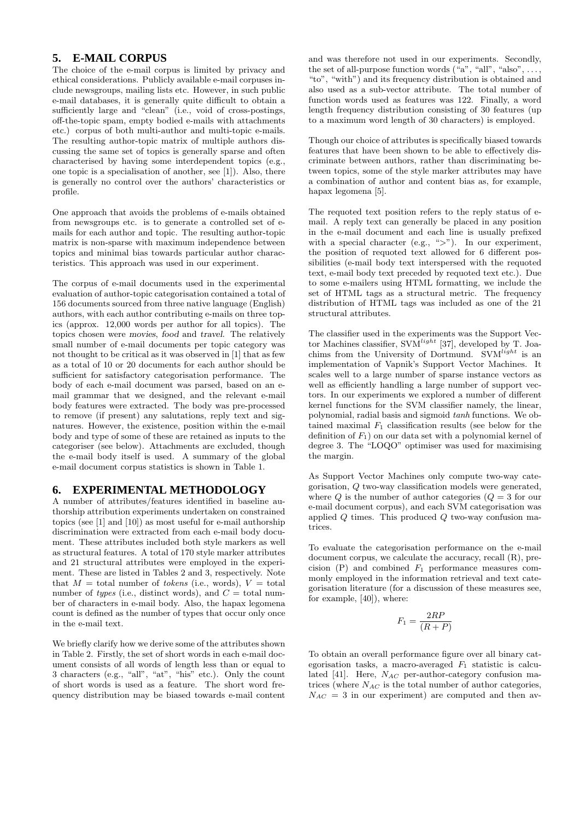# **5. E-MAIL CORPUS**

The choice of the e-mail corpus is limited by privacy and ethical considerations. Publicly available e-mail corpuses include newsgroups, mailing lists etc. However, in such public e-mail databases, it is generally quite difficult to obtain a sufficiently large and "clean" (i.e., void of cross-postings, off-the-topic spam, empty bodied e-mails with attachments etc.) corpus of both multi-author and multi-topic e-mails. The resulting author-topic matrix of multiple authors discussing the same set of topics is generally sparse and often characterised by having some interdependent topics (e.g., one topic is a specialisation of another, see [1]). Also, there is generally no control over the authors' characteristics or profile.

One approach that avoids the problems of e-mails obtained from newsgroups etc. is to generate a controlled set of emails for each author and topic. The resulting author-topic matrix is non-sparse with maximum independence between topics and minimal bias towards particular author characteristics. This approach was used in our experiment.

The corpus of e-mail documents used in the experimental evaluation of author-topic categorisation contained a total of 156 documents sourced from three native language (English) authors, with each author contributing e-mails on three topics (approx. 12,000 words per author for all topics). The topics chosen were movies, food and travel. The relatively small number of e-mail documents per topic category was not thought to be critical as it was observed in [1] that as few as a total of 10 or 20 documents for each author should be sufficient for satisfactory categorisation performance. The body of each e-mail document was parsed, based on an email grammar that we designed, and the relevant e-mail body features were extracted. The body was pre-processed to remove (if present) any salutations, reply text and signatures. However, the existence, position within the e-mail body and type of some of these are retained as inputs to the categoriser (see below). Attachments are excluded, though the e-mail body itself is used. A summary of the global e-mail document corpus statistics is shown in Table 1.

## **6. EXPERIMENTAL METHODOLOGY**

A number of attributes/features identified in baseline authorship attribution experiments undertaken on constrained topics (see [1] and [10]) as most useful for e-mail authorship discrimination were extracted from each e-mail body document. These attributes included both style markers as well as structural features. A total of 170 style marker attributes and 21 structural attributes were employed in the experiment. These are listed in Tables 2 and 3, respectively. Note that  $M =$  total number of *tokens* (i.e., words),  $V =$  total number of types (i.e., distinct words), and  $C =$  total number of characters in e-mail body. Also, the hapax legomena count is defined as the number of types that occur only once in the e-mail text.

We briefly clarify how we derive some of the attributes shown in Table 2. Firstly, the set of short words in each e-mail document consists of all words of length less than or equal to 3 characters (e.g., "all", "at", "his" etc.). Only the count of short words is used as a feature. The short word frequency distribution may be biased towards e-mail content

and was therefore not used in our experiments. Secondly, the set of all-purpose function words  $({}^{a}a^{n}, {}^{a}all^{n}, {}^{a}also^{n}, \ldots)$ "to", "with") and its frequency distribution is obtained and also used as a sub-vector attribute. The total number of function words used as features was 122. Finally, a word length frequency distribution consisting of 30 features (up to a maximum word length of 30 characters) is employed.

Though our choice of attributes is specifically biased towards features that have been shown to be able to effectively discriminate between authors, rather than discriminating between topics, some of the style marker attributes may have a combination of author and content bias as, for example, hapax legomena [5].

The requoted text position refers to the reply status of email. A reply text can generally be placed in any position in the e-mail document and each line is usually prefixed with a special character (e.g., " $>$ "). In our experiment, the position of requoted text allowed for 6 different possibilities (e-mail body text interspersed with the requoted text, e-mail body text preceded by requoted text etc.). Due to some e-mailers using HTML formatting, we include the set of HTML tags as a structural metric. The frequency distribution of HTML tags was included as one of the 21 structural attributes.

The classifier used in the experiments was the Support Vector Machines classifier, SVM<sup>light</sup> [37], developed by T. Joachims from the University of Dortmund.  $SVM<sup>light</sup>$  is an implementation of Vapnik's Support Vector Machines. It scales well to a large number of sparse instance vectors as well as efficiently handling a large number of support vectors. In our experiments we explored a number of different kernel functions for the SVM classifier namely, the linear, polynomial, radial basis and sigmoid tanh functions. We obtained maximal  $F_1$  classification results (see below for the definition of  $F_1$ ) on our data set with a polynomial kernel of degree 3. The "LOQO" optimiser was used for maximising the margin.

As Support Vector Machines only compute two-way categorisation, Q two-way classification models were generated, where Q is the number of author categories  $(Q = 3$  for our e-mail document corpus), and each SVM categorisation was applied  $Q$  times. This produced  $Q$  two-way confusion matrices.

To evaluate the categorisation performance on the e-mail document corpus, we calculate the accuracy, recall (R), precision  $(P)$  and combined  $F_1$  performance measures commonly employed in the information retrieval and text categorisation literature (for a discussion of these measures see, for example, [40]), where:

$$
F_1 = \frac{2RP}{(R+P)}
$$

To obtain an overall performance figure over all binary categorisation tasks, a macro-averaged  $F_1$  statistic is calculated [41]. Here,  $N_{AC}$  per-author-category confusion matrices (where  $N_{AC}$  is the total number of author categories,  $N_{AC} = 3$  in our experiment) are computed and then av-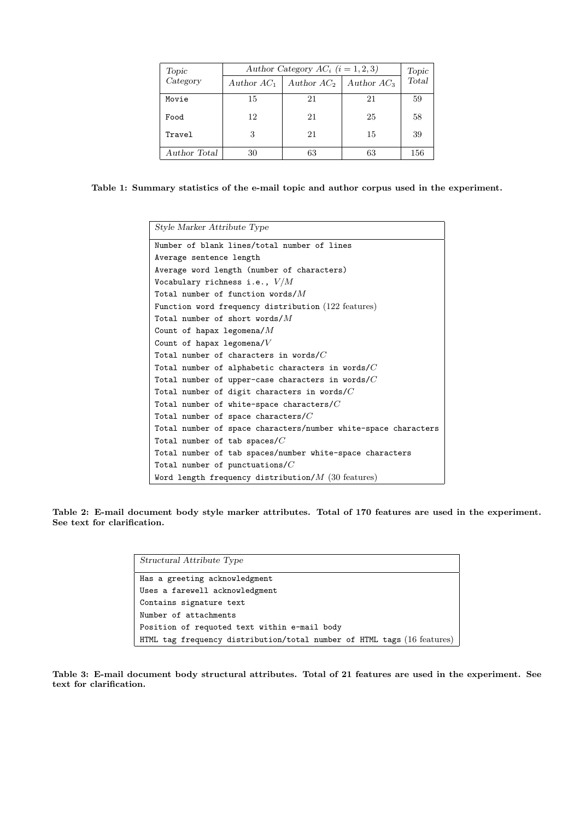| Topic        | Author Category $AC_i$ $(i = 1, 2, 3)$ |               |               |       |  |  |
|--------------|----------------------------------------|---------------|---------------|-------|--|--|
| Category     | Author $AC_1$                          | Author $AC_2$ | Author $AC_3$ | Total |  |  |
| Movie        | 15                                     | 21            | 21            | 59    |  |  |
| Food         | 12                                     | 21            | 25            | 58    |  |  |
| Travel       | 3                                      | 21            | 15            | 39    |  |  |
| Author Total | 30                                     | 63            | 63            | 156   |  |  |

|  |  |  |  |  |  | Table 1: Summary statistics of the e-mail topic and author corpus used in the experiment. |
|--|--|--|--|--|--|-------------------------------------------------------------------------------------------|
|  |  |  |  |  |  |                                                                                           |

| Style Marker Attribute Type                                    |
|----------------------------------------------------------------|
| Number of blank lines/total number of lines                    |
| Average sentence length                                        |
| Average word length (number of characters)                     |
| Vocabulary richness i.e., $V/M$                                |
| Total number of function words/ $M$                            |
| Function word frequency distribution (122 features)            |
| Total number of short words/ $M$                               |
| Count of hapax legomena/ $M$                                   |
| Count of hapax legomena/ $V$                                   |
| Total number of characters in words/ $C$                       |
| Total number of alphabetic characters in words/ $C$            |
| Total number of upper-case characters in words/ $C$            |
| Total number of digit characters in words/ $C$                 |
| Total number of white-space characters/ $C$                    |
| Total number of space characters/ $C$                          |
| Total number of space characters/number white-space characters |
| Total number of tab spaces/ $C$                                |
| Total number of tab spaces/number white-space characters       |
| Total number of punctuations/ $C$                              |
| Word length frequency distribution/ $M$ (30 features)          |

Table 2: E-mail document body style marker attributes. Total of 170 features are used in the experiment. See text for clarification.

| Structural Attribute Type                                               |
|-------------------------------------------------------------------------|
| Has a greeting acknowledgment                                           |
| Uses a farewell acknowledgment                                          |
| Contains signature text                                                 |
| Number of attachments                                                   |
| Position of requoted text within e-mail body                            |
| HTML tag frequency distribution/total number of HTML tags (16 features) |

Table 3: E-mail document body structural attributes. Total of 21 features are used in the experiment. See text for clarification.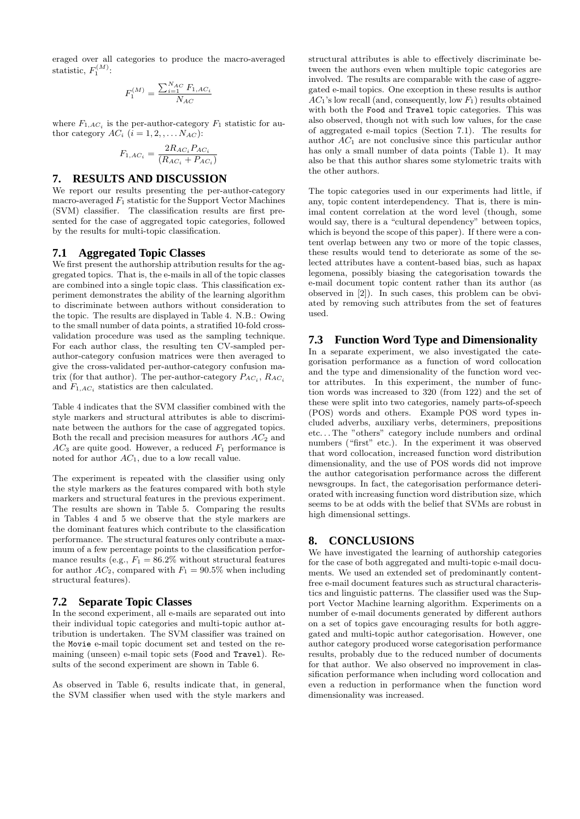eraged over all categories to produce the macro-averaged statistic,  $F_1^{(M)}$ :

$$
F_1^{(M)} = \frac{\sum_{i=1}^{N_{AC}} F_{1,AC_i}}{N_{AC}}
$$

where  $F_{1,AC_i}$  is the per-author-category  $F_1$  statistic for author category  $AC_i$   $(i = 1, 2, \ldots N_{AC})$ :

$$
F_{1,AC_i} = \frac{2R_{AC_i}P_{AC_i}}{(R_{AC_i} + P_{AC_i})}
$$

### **7. RESULTS AND DISCUSSION**

We report our results presenting the per-author-category macro-averaged  $F_1$  statistic for the Support Vector Machines (SVM) classifier. The classification results are first presented for the case of aggregated topic categories, followed by the results for multi-topic classification.

### **7.1 Aggregated Topic Classes**

We first present the authorship attribution results for the aggregated topics. That is, the e-mails in all of the topic classes are combined into a single topic class. This classification experiment demonstrates the ability of the learning algorithm to discriminate between authors without consideration to the topic. The results are displayed in Table 4. N.B.: Owing to the small number of data points, a stratified 10-fold crossvalidation procedure was used as the sampling technique. For each author class, the resulting ten CV-sampled perauthor-category confusion matrices were then averaged to give the cross-validated per-author-category confusion matrix (for that author). The per-author-category  $P_{AC_i}$ ,  $R_{AC_i}$ and  $F_{1,AC_i}$  statistics are then calculated.

Table 4 indicates that the SVM classifier combined with the style markers and structural attributes is able to discriminate between the authors for the case of aggregated topics. Both the recall and precision measures for authors  $AC_2$  and  $AC_3$  are quite good. However, a reduced  $F_1$  performance is noted for author  $AC_1$ , due to a low recall value.

The experiment is repeated with the classifier using only the style markers as the features compared with both style markers and structural features in the previous experiment. The results are shown in Table 5. Comparing the results in Tables 4 and 5 we observe that the style markers are the dominant features which contribute to the classification performance. The structural features only contribute a maximum of a few percentage points to the classification performance results (e.g.,  $F_1 = 86.2\%$  without structural features for author  $AC_2$ , compared with  $F_1 = 90.5\%$  when including structural features).

#### **7.2 Separate Topic Classes**

In the second experiment, all e-mails are separated out into their individual topic categories and multi-topic author attribution is undertaken. The SVM classifier was trained on the Movie e-mail topic document set and tested on the remaining (unseen) e-mail topic sets (Food and Travel). Results of the second experiment are shown in Table 6.

As observed in Table 6, results indicate that, in general, the SVM classifier when used with the style markers and structural attributes is able to effectively discriminate between the authors even when multiple topic categories are involved. The results are comparable with the case of aggregated e-mail topics. One exception in these results is author  $AC_1$ 's low recall (and, consequently, low  $F_1$ ) results obtained with both the Food and Travel topic categories. This was also observed, though not with such low values, for the case of aggregated e-mail topics (Section 7.1). The results for author  $AC_1$  are not conclusive since this particular author has only a small number of data points (Table 1). It may also be that this author shares some stylometric traits with the other authors.

The topic categories used in our experiments had little, if any, topic content interdependency. That is, there is minimal content correlation at the word level (though, some would say, there is a "cultural dependency" between topics, which is beyond the scope of this paper). If there were a content overlap between any two or more of the topic classes, these results would tend to deteriorate as some of the selected attributes have a content-based bias, such as hapax legomena, possibly biasing the categorisation towards the e-mail document topic content rather than its author (as observed in [2]). In such cases, this problem can be obviated by removing such attributes from the set of features used.

### **7.3 Function Word Type and Dimensionality**

In a separate experiment, we also investigated the categorisation performance as a function of word collocation and the type and dimensionality of the function word vector attributes. In this experiment, the number of function words was increased to 320 (from 122) and the set of these were split into two categories, namely parts-of-speech (POS) words and others. Example POS word types included adverbs, auxiliary verbs, determiners, prepositions etc. . . The "others" category include numbers and ordinal numbers ("first" etc.). In the experiment it was observed that word collocation, increased function word distribution dimensionality, and the use of POS words did not improve the author categorisation performance across the different newsgroups. In fact, the categorisation performance deteriorated with increasing function word distribution size, which seems to be at odds with the belief that SVMs are robust in high dimensional settings.

## **8. CONCLUSIONS**

We have investigated the learning of authorship categories for the case of both aggregated and multi-topic e-mail documents. We used an extended set of predominantly contentfree e-mail document features such as structural characteristics and linguistic patterns. The classifier used was the Support Vector Machine learning algorithm. Experiments on a number of e-mail documents generated by different authors on a set of topics gave encouraging results for both aggregated and multi-topic author categorisation. However, one author category produced worse categorisation performance results, probably due to the reduced number of documents for that author. We also observed no improvement in classification performance when including word collocation and even a reduction in performance when the function word dimensionality was increased.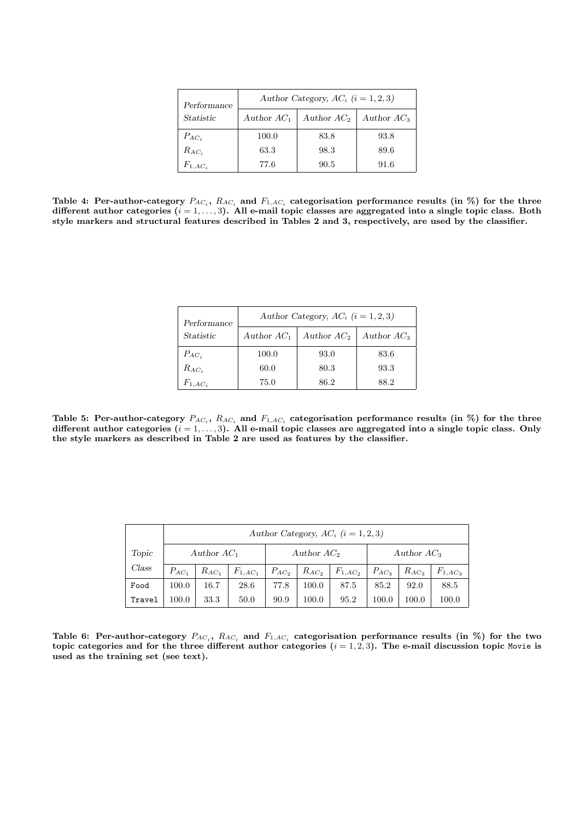| Performance      | Author Category, $AC_i$ $(i = 1, 2, 3)$ |               |               |  |  |  |
|------------------|-----------------------------------------|---------------|---------------|--|--|--|
| <i>Statistic</i> | Author $AC_1$                           | Author $AC_2$ | Author $AC_3$ |  |  |  |
| $P_{AC_i}$       | 100.0                                   | 83.8          | 93.8          |  |  |  |
| $R_{AC_i}$       | 63.3                                    | 98.3          | 89.6          |  |  |  |
| $F_{1,AC_i}$     | 77.6                                    | 90.5          | 91.6          |  |  |  |

Table 4: Per-author-category  $P_{AC_i}$ ,  $R_{AC_i}$  and  $F_{1,AC_i}$  categorisation performance results (in  $\%$ ) for the three different author categories  $(i = 1, \ldots, 3)$ . All e-mail topic classes are aggregated into a single topic class. Both style markers and structural features described in Tables 2 and 3, respectively, are used by the classifier.

| Performance  | Author Category, $AC_i$ $(i = 1, 2, 3)$ |               |               |  |  |  |
|--------------|-----------------------------------------|---------------|---------------|--|--|--|
| Statistic    | Author $AC_1$                           | Author $AC_2$ | Author $AC_3$ |  |  |  |
| $P_{AC_i}$   | 100.0                                   | 93.0          | 83.6          |  |  |  |
| $R_{AC_i}$   | 60.0                                    | 80.3          | 93.3          |  |  |  |
| $F_{1,AC_i}$ | 75.0                                    | 86.2          | 88.2          |  |  |  |

Table 5: Per-author-category  $P_{AC_i}$ ,  $R_{AC_i}$  and  $F_{1,AC_i}$  categorisation performance results (in  $\%$ ) for the three different author categories  $(i = 1, \ldots, 3)$ . All e-mail topic classes are aggregated into a single topic class. Only the style markers as described in Table 2 are used as features by the classifier.

|        | Author Category, $AC_i$ $(i = 1, 2, 3)$ |            |              |               |            |              |               |            |              |
|--------|-----------------------------------------|------------|--------------|---------------|------------|--------------|---------------|------------|--------------|
| Topic  | Author $AC_1$                           |            |              | Author $AC_2$ |            |              | Author $AC_3$ |            |              |
| Class  | $P_{AC_1}$                              | $R_{AC_1}$ | $F_{1,AC_1}$ | $P_{AC_2}$    | $R_{AC_2}$ | $F_{1,AC_2}$ | $P_{AC_3}$    | $R_{AC_3}$ | $F_{1,AC_3}$ |
| Food   | 100.0                                   | 16.7       | 28.6         | 77.8          | 100.0      | 87.5         | 85.2          | 92.0       | 88.5         |
| Travel | 100.0                                   | 33.3       | 50.0         | 90.9          | 100.0      | 95.2         | 100.0         | $100.0\,$  | 100.0        |

Table 6: Per-author-category  $P_{AC_i}$ ,  $R_{AC_i}$  and  $F_{1,AC_i}$  categorisation performance results (in  $\%$ ) for the two topic categories and for the three different author categories  $(i = 1, 2, 3)$ . The e-mail discussion topic Movie is used as the training set (see text).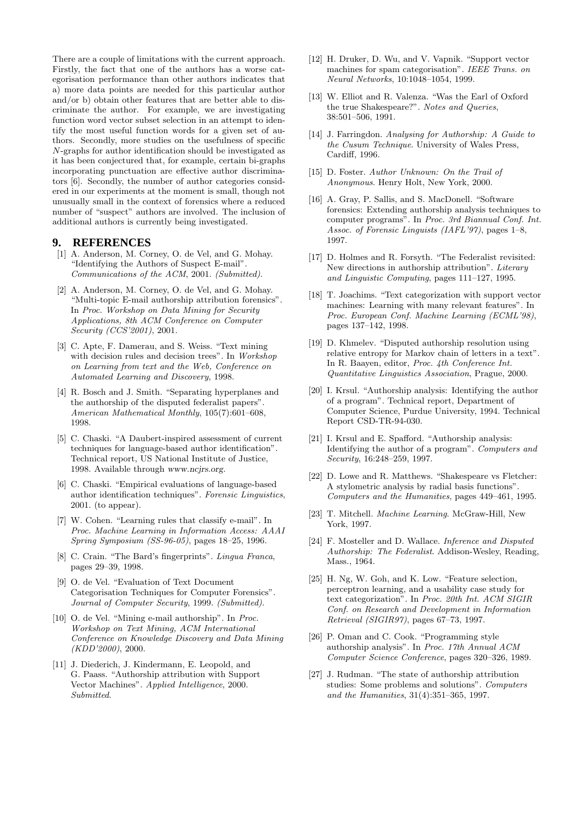There are a couple of limitations with the current approach. Firstly, the fact that one of the authors has a worse categorisation performance than other authors indicates that a) more data points are needed for this particular author and/or b) obtain other features that are better able to discriminate the author. For example, we are investigating function word vector subset selection in an attempt to identify the most useful function words for a given set of authors. Secondly, more studies on the usefulness of specific N-graphs for author identification should be investigated as it has been conjectured that, for example, certain bi-graphs incorporating punctuation are effective author discriminators [6]. Secondly, the number of author categories considered in our experiments at the moment is small, though not unusually small in the context of forensics where a reduced number of "suspect" authors are involved. The inclusion of additional authors is currently being investigated.

#### **9. REFERENCES**

- [1] A. Anderson, M. Corney, O. de Vel, and G. Mohay. "Identifying the Authors of Suspect E-mail". Communications of the ACM, 2001. (Submitted).
- [2] A. Anderson, M. Corney, O. de Vel, and G. Mohay. "Multi-topic E-mail authorship attribution forensics". In Proc. Workshop on Data Mining for Security Applications, 8th ACM Conference on Computer Security (CCS'2001), 2001.
- [3] C. Apte, F. Damerau, and S. Weiss. "Text mining with decision rules and decision trees". In Workshop on Learning from text and the Web, Conference on Automated Learning and Discovery, 1998.
- [4] R. Bosch and J. Smith. "Separating hyperplanes and the authorship of the disputed federalist papers". American Mathematical Monthly, 105(7):601–608, 1998.
- [5] C. Chaski. "A Daubert-inspired assessment of current techniques for language-based author identification". Technical report, US National Institute of Justice, 1998. Available through www.ncjrs.org.
- [6] C. Chaski. "Empirical evaluations of language-based author identification techniques". Forensic Linguistics, 2001. (to appear).
- [7] W. Cohen. "Learning rules that classify e-mail". In Proc. Machine Learning in Information Access: AAAI Spring Symposium (SS-96-05), pages 18–25, 1996.
- [8] C. Crain. "The Bard's fingerprints". Lingua Franca, pages 29–39, 1998.
- [9] O. de Vel. "Evaluation of Text Document Categorisation Techniques for Computer Forensics". Journal of Computer Security, 1999. (Submitted).
- [10] O. de Vel. "Mining e-mail authorship". In Proc. Workshop on Text Mining, ACM International Conference on Knowledge Discovery and Data Mining (KDD'2000), 2000.
- [11] J. Diederich, J. Kindermann, E. Leopold, and G. Paass. "Authorship attribution with Support Vector Machines". Applied Intelligence, 2000. Submitted.
- [12] H. Druker, D. Wu, and V. Vapnik. "Support vector machines for spam categorisation". IEEE Trans. on Neural Networks, 10:1048–1054, 1999.
- [13] W. Elliot and R. Valenza. "Was the Earl of Oxford the true Shakespeare?". Notes and Queries, 38:501–506, 1991.
- [14] J. Farringdon. Analysing for Authorship: A Guide to the Cusum Technique. University of Wales Press, Cardiff, 1996.
- [15] D. Foster. Author Unknown: On the Trail of Anonymous. Henry Holt, New York, 2000.
- [16] A. Gray, P. Sallis, and S. MacDonell. "Software forensics: Extending authorship analysis techniques to computer programs". In Proc. 3rd Biannual Conf. Int. Assoc. of Forensic Linguists (IAFL'97), pages 1–8, 1997.
- [17] D. Holmes and R. Forsyth. "The Federalist revisited: New directions in authorship attribution". Literary and Linguistic Computing, pages 111–127, 1995.
- [18] T. Joachims. "Text categorization with support vector machines: Learning with many relevant features". In Proc. European Conf. Machine Learning (ECML'98), pages 137–142, 1998.
- [19] D. Khmelev. "Disputed authorship resolution using relative entropy for Markov chain of letters in a text". In R. Baayen, editor, Proc. 4th Conference Int. Quantitative Linguistics Association, Prague, 2000.
- [20] I. Krsul. "Authorship analysis: Identifying the author of a program". Technical report, Department of Computer Science, Purdue University, 1994. Technical Report CSD-TR-94-030.
- [21] I. Krsul and E. Spafford. "Authorship analysis: Identifying the author of a program". Computers and Security, 16:248–259, 1997.
- [22] D. Lowe and R. Matthews. "Shakespeare vs Fletcher: A stylometric analysis by radial basis functions". Computers and the Humanities, pages 449–461, 1995.
- [23] T. Mitchell. Machine Learning. McGraw-Hill, New York, 1997.
- [24] F. Mosteller and D. Wallace. Inference and Disputed Authorship: The Federalist. Addison-Wesley, Reading, Mass., 1964.
- [25] H. Ng, W. Goh, and K. Low. "Feature selection, perceptron learning, and a usability case study for text categorization". In Proc. 20th Int. ACM SIGIR Conf. on Research and Development in Information Retrieval (SIGIR97), pages 67–73, 1997.
- [26] P. Oman and C. Cook. "Programming style authorship analysis". In Proc. 17th Annual ACM Computer Science Conference, pages 320–326, 1989.
- [27] J. Rudman. "The state of authorship attribution studies: Some problems and solutions". Computers and the Humanities, 31(4):351–365, 1997.